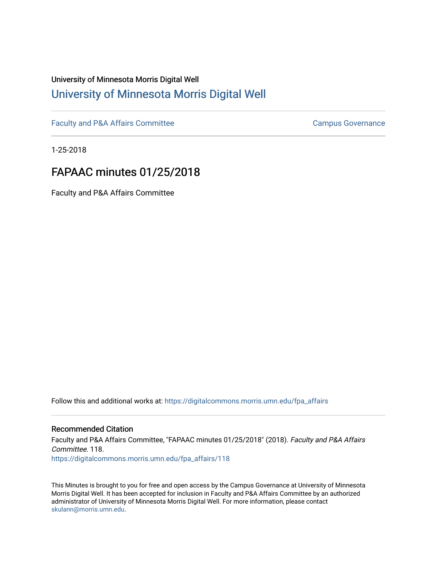# University of Minnesota Morris Digital Well [University of Minnesota Morris Digital Well](https://digitalcommons.morris.umn.edu/)

[Faculty and P&A Affairs Committee](https://digitalcommons.morris.umn.edu/fpa_affairs) [Campus Governance](https://digitalcommons.morris.umn.edu/campgov) Campus Governance

1-25-2018

# FAPAAC minutes 01/25/2018

Faculty and P&A Affairs Committee

Follow this and additional works at: [https://digitalcommons.morris.umn.edu/fpa\\_affairs](https://digitalcommons.morris.umn.edu/fpa_affairs?utm_source=digitalcommons.morris.umn.edu%2Ffpa_affairs%2F118&utm_medium=PDF&utm_campaign=PDFCoverPages)

## Recommended Citation

Faculty and P&A Affairs Committee, "FAPAAC minutes 01/25/2018" (2018). Faculty and P&A Affairs Committee. 118. [https://digitalcommons.morris.umn.edu/fpa\\_affairs/118](https://digitalcommons.morris.umn.edu/fpa_affairs/118?utm_source=digitalcommons.morris.umn.edu%2Ffpa_affairs%2F118&utm_medium=PDF&utm_campaign=PDFCoverPages)

This Minutes is brought to you for free and open access by the Campus Governance at University of Minnesota Morris Digital Well. It has been accepted for inclusion in Faculty and P&A Affairs Committee by an authorized administrator of University of Minnesota Morris Digital Well. For more information, please contact [skulann@morris.umn.edu.](mailto:skulann@morris.umn.edu)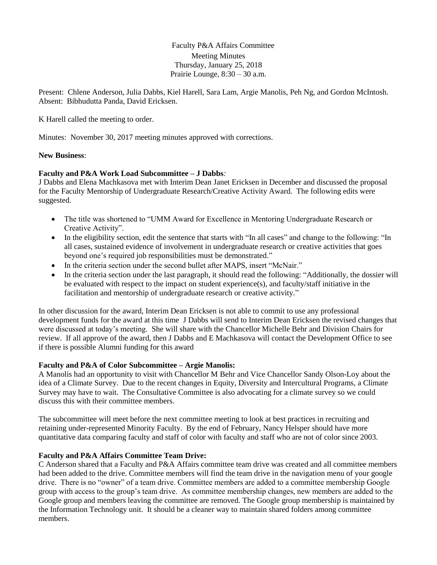Faculty P&A Affairs Committee Meeting Minutes Thursday, January 25, 2018 Prairie Lounge, 8:30 – 30 a.m.

Present: Chlene Anderson, Julia Dabbs, Kiel Harell, Sara Lam, Argie Manolis, Peh Ng, and Gordon McIntosh. Absent: Bibhudutta Panda, David Ericksen.

K Harell called the meeting to order.

Minutes: November 30, 2017 meeting minutes approved with corrections.

#### **New Business**:

#### **Faculty and P&A Work Load Subcommittee – J Dabbs***:*

J Dabbs and Elena Machkasova met with Interim Dean Janet Ericksen in December and discussed the proposal for the Faculty Mentorship of Undergraduate Research/Creative Activity Award. The following edits were suggested.

- The title was shortened to "UMM Award for Excellence in Mentoring Undergraduate Research or Creative Activity".
- In the eligibility section, edit the sentence that starts with "In all cases" and change to the following: "In all cases, sustained evidence of involvement in undergraduate research or creative activities that goes beyond one's required job responsibilities must be demonstrated."
- In the criteria section under the second bullet after MAPS, insert "McNair."
- In the criteria section under the last paragraph, it should read the following: "Additionally, the dossier will be evaluated with respect to the impact on student experience(s), and faculty/staff initiative in the facilitation and mentorship of undergraduate research or creative activity."

In other discussion for the award, Interim Dean Ericksen is not able to commit to use any professional development funds for the award at this time J Dabbs will send to Interim Dean Ericksen the revised changes that were discussed at today's meeting. She will share with the Chancellor Michelle Behr and Division Chairs for review. If all approve of the award, then J Dabbs and E Machkasova will contact the Development Office to see if there is possible Alumni funding for this award

## **Faculty and P&A of Color Subcommittee – Argie Manolis:**

A Manolis had an opportunity to visit with Chancellor M Behr and Vice Chancellor Sandy Olson-Loy about the idea of a Climate Survey. Due to the recent changes in Equity, Diversity and Intercultural Programs, a Climate Survey may have to wait. The Consultative Committee is also advocating for a climate survey so we could discuss this with their committee members.

The subcommittee will meet before the next committee meeting to look at best practices in recruiting and retaining under-represented Minority Faculty. By the end of February, Nancy Helsper should have more quantitative data comparing faculty and staff of color with faculty and staff who are not of color since 2003.

## **Faculty and P&A Affairs Committee Team Drive:**

C Anderson shared that a Faculty and P&A Affairs committee team drive was created and all committee members had been added to the drive. Committee members will find the team drive in the navigation menu of your google drive. There is no "owner" of a team drive. Committee members are added to a committee membership Google group with access to the group's team drive. As committee membership changes, new members are added to the Google group and members leaving the committee are removed. The Google group membership is maintained by the Information Technology unit. It should be a cleaner way to maintain shared folders among committee members.